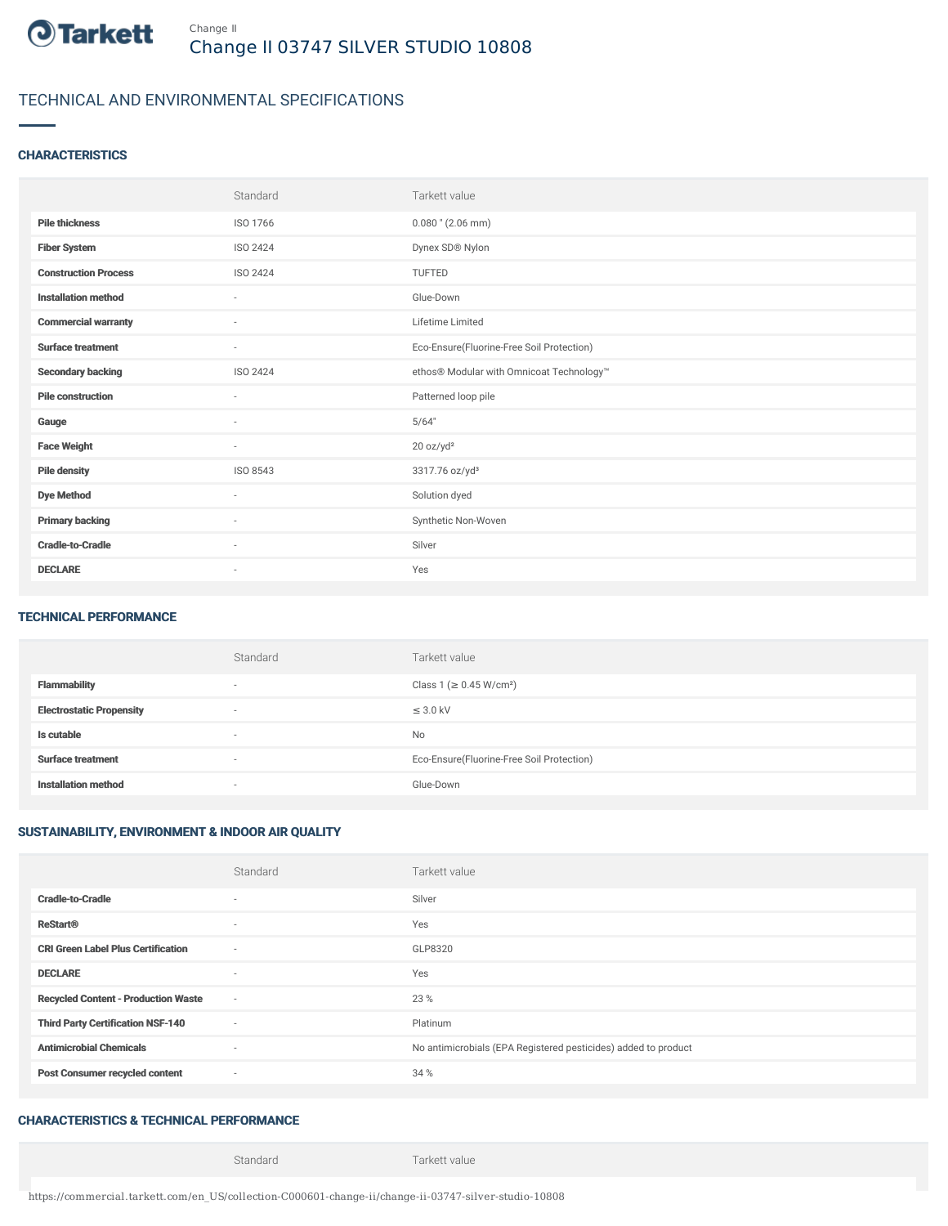

# TECHNICAL AND ENVIRONMENTAL SPECIFICATIONS

#### **CHARACTERISTICS**

|                             | Standard                 | Tarkett value                             |
|-----------------------------|--------------------------|-------------------------------------------|
| <b>Pile thickness</b>       | ISO 1766                 | $0.080$ " (2.06 mm)                       |
| <b>Fiber System</b>         | ISO 2424                 | Dynex SD® Nylon                           |
| <b>Construction Process</b> | ISO 2424                 | <b>TUFTED</b>                             |
| <b>Installation method</b>  | ٠                        | Glue-Down                                 |
| <b>Commercial warranty</b>  | $\sim$                   | Lifetime Limited                          |
| <b>Surface treatment</b>    | $\overline{\phantom{a}}$ | Eco-Ensure(Fluorine-Free Soil Protection) |
| <b>Secondary backing</b>    | ISO 2424                 | ethos® Modular with Omnicoat Technology™  |
| <b>Pile construction</b>    | $\sim$                   | Patterned loop pile                       |
| Gauge                       | $\sim$                   | 5/64"                                     |
| <b>Face Weight</b>          | ×.                       | 20 oz/yd <sup>2</sup>                     |
| <b>Pile density</b>         | ISO 8543                 | 3317.76 oz/yd <sup>3</sup>                |
| <b>Dye Method</b>           | $\sim$                   | Solution dyed                             |
| <b>Primary backing</b>      | ×                        | Synthetic Non-Woven                       |
| <b>Cradle-to-Cradle</b>     | ٠                        | Silver                                    |
| <b>DECLARE</b>              | $\overline{\phantom{a}}$ | Yes                                       |

#### TECHNICAL PERFORMANCE

|                                 | Standard                 | Tarkett value                             |
|---------------------------------|--------------------------|-------------------------------------------|
| <b>Flammability</b>             |                          | Class 1 (≥ 0.45 W/cm <sup>2</sup> )       |
| <b>Electrostatic Propensity</b> | $\overline{\phantom{a}}$ | $\leq$ 3.0 kV                             |
| Is cutable                      |                          | No                                        |
| <b>Surface treatment</b>        | $\overline{\phantom{a}}$ | Eco-Ensure(Fluorine-Free Soil Protection) |
| <b>Installation method</b>      |                          | Glue-Down                                 |

## SUSTAINABILITY, ENVIRONMENT & INDOOR AIR QUALITY

|                                            | Standard                 | Tarkett value                                                  |
|--------------------------------------------|--------------------------|----------------------------------------------------------------|
| <b>Cradle-to-Cradle</b>                    | ۰                        | Silver                                                         |
| <b>ReStart®</b>                            | $\sim$                   | Yes                                                            |
| <b>CRI Green Label Plus Certification</b>  | $\sim$                   | GLP8320                                                        |
| <b>DECLARE</b>                             | $\sim$                   | Yes                                                            |
| <b>Recycled Content - Production Waste</b> | $\sim$                   | 23 %                                                           |
| <b>Third Party Certification NSF-140</b>   | $\sim$                   | Platinum                                                       |
| <b>Antimicrobial Chemicals</b>             | $\sim$                   | No antimicrobials (EPA Registered pesticides) added to product |
| <b>Post Consumer recycled content</b>      | $\overline{\phantom{a}}$ | 34 %                                                           |

## CHARACTERISTICS & TECHNICAL PERFORMANCE

Standard Tarkett value